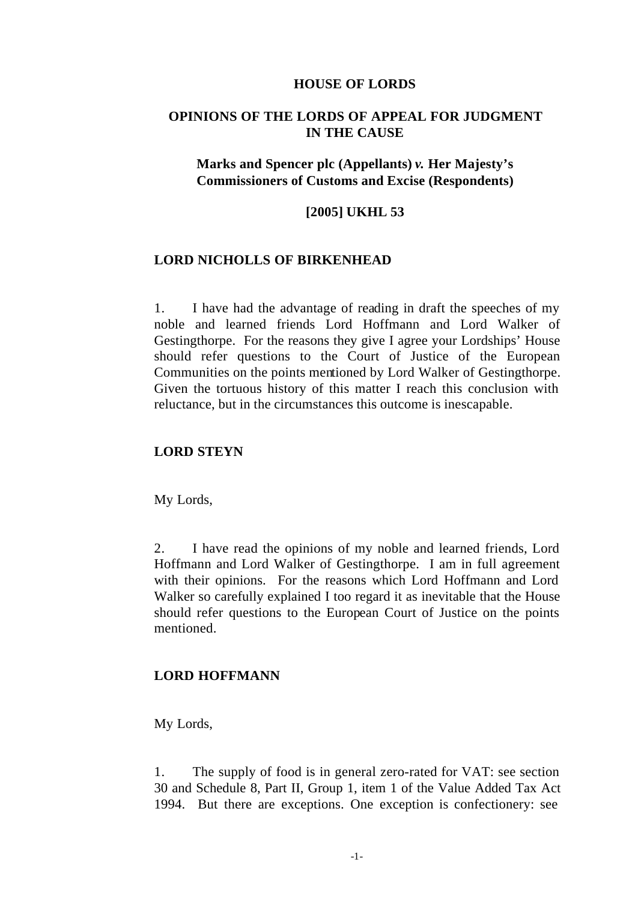#### **HOUSE OF LORDS**

# **OPINIONS OF THE LORDS OF APPEAL FOR JUDGMENT IN THE CAUSE**

# **Marks and Spencer plc (Appellants)** *v.* **Her Majesty's Commissioners of Customs and Excise (Respondents)**

### **[2005] UKHL 53**

### **LORD NICHOLLS OF BIRKENHEAD**

1. I have had the advantage of reading in draft the speeches of my noble and learned friends Lord Hoffmann and Lord Walker of Gestingthorpe. For the reasons they give I agree your Lordships' House should refer questions to the Court of Justice of the European Communities on the points mentioned by Lord Walker of Gestingthorpe. Given the tortuous history of this matter I reach this conclusion with reluctance, but in the circumstances this outcome is inescapable.

# **LORD STEYN**

My Lords,

2. I have read the opinions of my noble and learned friends, Lord Hoffmann and Lord Walker of Gestingthorpe. I am in full agreement with their opinions. For the reasons which Lord Hoffmann and Lord Walker so carefully explained I too regard it as inevitable that the House should refer questions to the European Court of Justice on the points mentioned.

### **LORD HOFFMANN**

My Lords,

1. The supply of food is in general zero-rated for VAT: see section 30 and Schedule 8, Part II, Group 1, item 1 of the Value Added Tax Act 1994. But there are exceptions. One exception is confectionery: see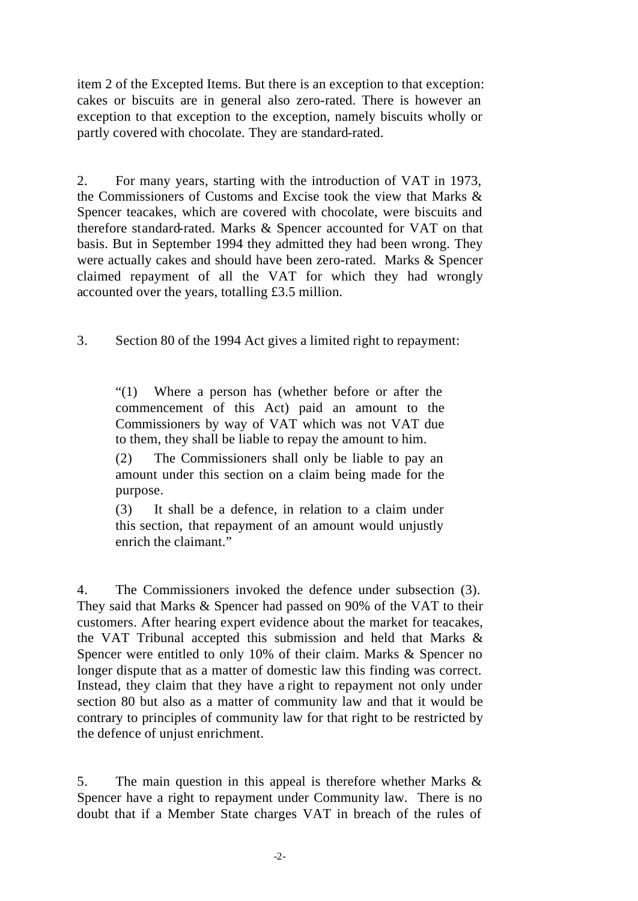item 2 of the Excepted Items. But there is an exception to that exception: cakes or biscuits are in general also zero-rated. There is however an exception to that exception to the exception, namely biscuits wholly or partly covered with chocolate. They are standard-rated.

2. For many years, starting with the introduction of VAT in 1973, the Commissioners of Customs and Excise took the view that Marks & Spencer teacakes, which are covered with chocolate, were biscuits and therefore standard-rated. Marks & Spencer accounted for VAT on that basis. But in September 1994 they admitted they had been wrong. They were actually cakes and should have been zero-rated. Marks & Spencer claimed repayment of all the VAT for which they had wrongly accounted over the years, totalling £3.5 million.

3. Section 80 of the 1994 Act gives a limited right to repayment:

"(1) Where a person has (whether before or after the commencement of this Act) paid an amount to the Commissioners by way of VAT which was not VAT due to them, they shall be liable to repay the amount to him.

(2) The Commissioners shall only be liable to pay an amount under this section on a claim being made for the purpose.

(3) It shall be a defence, in relation to a claim under this section, that repayment of an amount would unjustly enrich the claimant."

4. The Commissioners invoked the defence under subsection (3). They said that Marks & Spencer had passed on 90% of the VAT to their customers. After hearing expert evidence about the market for teacakes, the VAT Tribunal accepted this submission and held that Marks & Spencer were entitled to only 10% of their claim. Marks & Spencer no longer dispute that as a matter of domestic law this finding was correct. Instead, they claim that they have a right to repayment not only under section 80 but also as a matter of community law and that it would be contrary to principles of community law for that right to be restricted by the defence of unjust enrichment.

5. The main question in this appeal is therefore whether Marks & Spencer have a right to repayment under Community law. There is no doubt that if a Member State charges VAT in breach of the rules of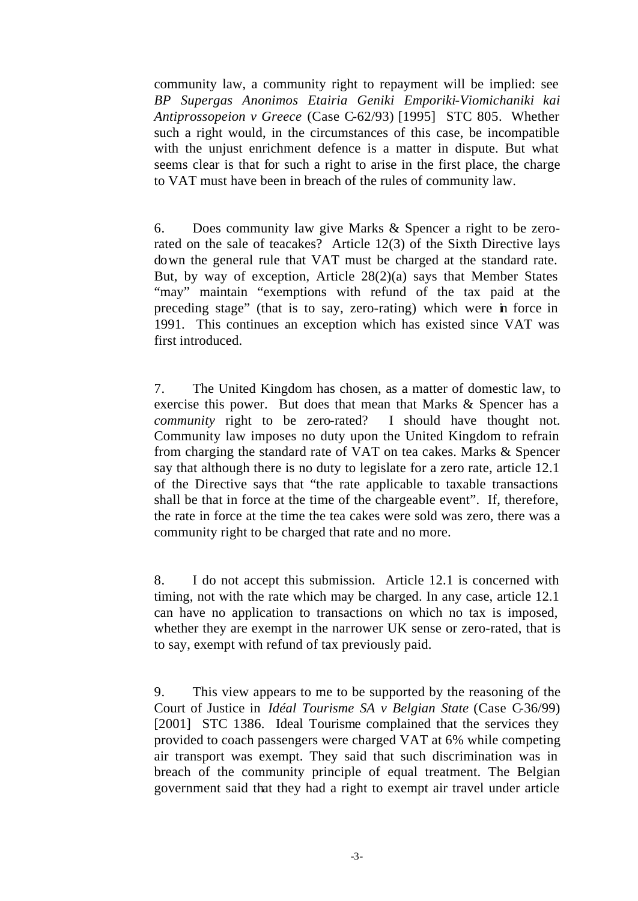community law, a community right to repayment will be implied: see *BP Supergas Anonimos Etairia Geniki Emporiki-Viomichaniki kai Antiprossopeion v Greece* (Case C-62/93) [1995] STC 805. Whether such a right would, in the circumstances of this case, be incompatible with the unjust enrichment defence is a matter in dispute. But what seems clear is that for such a right to arise in the first place, the charge to VAT must have been in breach of the rules of community law.

6. Does community law give Marks & Spencer a right to be zerorated on the sale of teacakes? Article 12(3) of the Sixth Directive lays down the general rule that VAT must be charged at the standard rate. But, by way of exception, Article 28(2)(a) says that Member States "may" maintain "exemptions with refund of the tax paid at the preceding stage" (that is to say, zero-rating) which were in force in 1991. This continues an exception which has existed since VAT was first introduced.

7. The United Kingdom has chosen, as a matter of domestic law, to exercise this power. But does that mean that Marks & Spencer has a *community* right to be zero-rated? I should have thought not. Community law imposes no duty upon the United Kingdom to refrain from charging the standard rate of VAT on tea cakes. Marks & Spencer say that although there is no duty to legislate for a zero rate, article 12.1 of the Directive says that "the rate applicable to taxable transactions shall be that in force at the time of the chargeable event". If, therefore, the rate in force at the time the tea cakes were sold was zero, there was a community right to be charged that rate and no more.

8. I do not accept this submission. Article 12.1 is concerned with timing, not with the rate which may be charged. In any case, article 12.1 can have no application to transactions on which no tax is imposed, whether they are exempt in the narrower UK sense or zero-rated, that is to say, exempt with refund of tax previously paid.

9. This view appears to me to be supported by the reasoning of the Court of Justice in *Idéal Tourisme SA v Belgian State* (Case C-36/99) [2001] STC 1386. Ideal Tourisme complained that the services they provided to coach passengers were charged VAT at 6% while competing air transport was exempt. They said that such discrimination was in breach of the community principle of equal treatment. The Belgian government said that they had a right to exempt air travel under article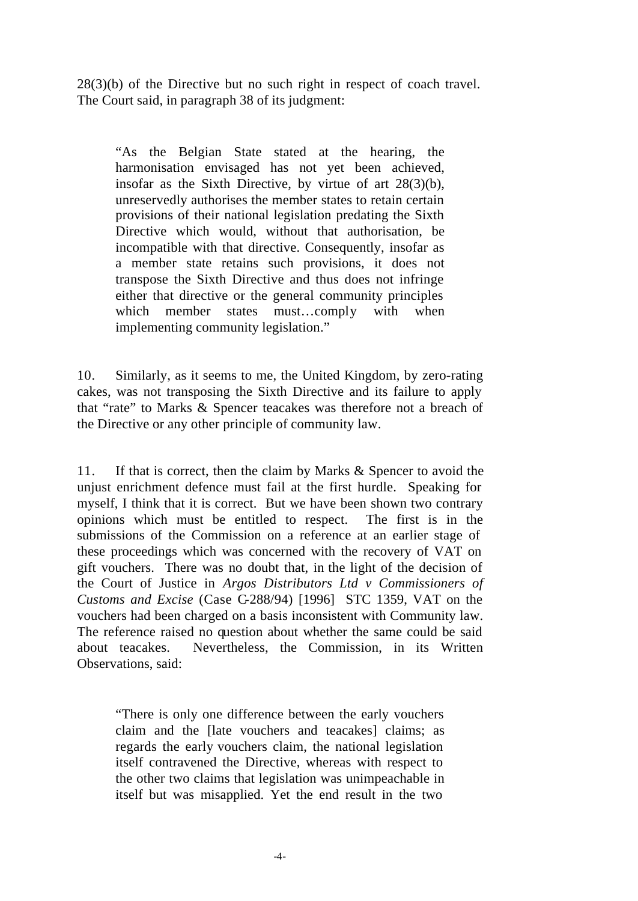28(3)(b) of the Directive but no such right in respect of coach travel. The Court said, in paragraph 38 of its judgment:

"As the Belgian State stated at the hearing, the harmonisation envisaged has not yet been achieved, insofar as the Sixth Directive, by virtue of art 28(3)(b), unreservedly authorises the member states to retain certain provisions of their national legislation predating the Sixth Directive which would, without that authorisation, be incompatible with that directive. Consequently, insofar as a member state retains such provisions, it does not transpose the Sixth Directive and thus does not infringe either that directive or the general community principles which member states must...comply with when implementing community legislation."

10. Similarly, as it seems to me, the United Kingdom, by zero-rating cakes, was not transposing the Sixth Directive and its failure to apply that "rate" to Marks & Spencer teacakes was therefore not a breach of the Directive or any other principle of community law.

11. If that is correct, then the claim by Marks & Spencer to avoid the unjust enrichment defence must fail at the first hurdle. Speaking for myself, I think that it is correct. But we have been shown two contrary opinions which must be entitled to respect. The first is in the submissions of the Commission on a reference at an earlier stage of these proceedings which was concerned with the recovery of VAT on gift vouchers. There was no doubt that, in the light of the decision of the Court of Justice in *Argos Distributors Ltd v Commissioners of Customs and Excise* (Case C-288/94) [1996] STC 1359, VAT on the vouchers had been charged on a basis inconsistent with Community law. The reference raised no question about whether the same could be said about teacakes. Nevertheless, the Commission, in its Written Observations, said:

"There is only one difference between the early vouchers claim and the [late vouchers and teacakes] claims; as regards the early vouchers claim, the national legislation itself contravened the Directive, whereas with respect to the other two claims that legislation was unimpeachable in itself but was misapplied. Yet the end result in the two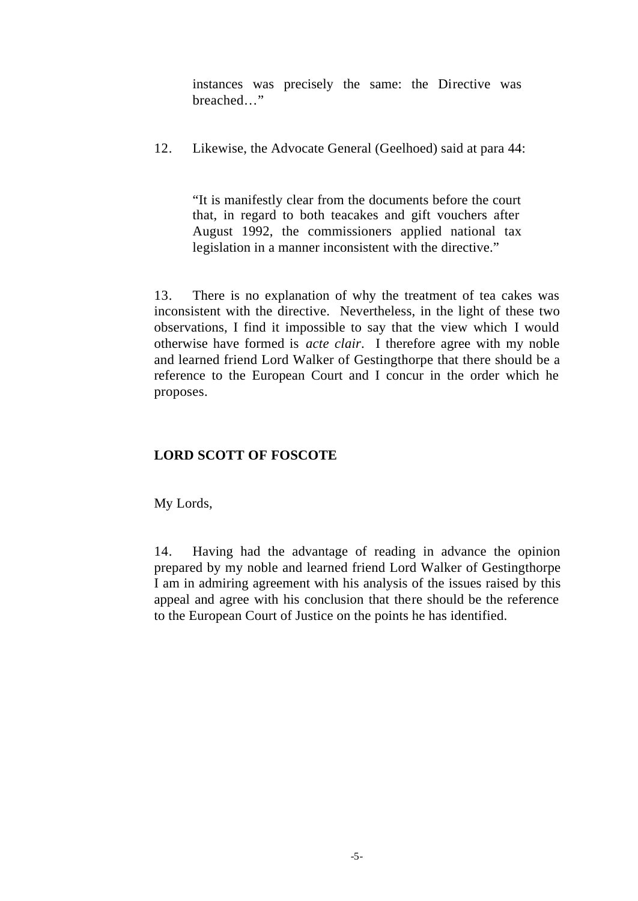instances was precisely the same: the Directive was breached…"

12. Likewise, the Advocate General (Geelhoed) said at para 44:

"It is manifestly clear from the documents before the court that, in regard to both teacakes and gift vouchers after August 1992, the commissioners applied national tax legislation in a manner inconsistent with the directive."

13. There is no explanation of why the treatment of tea cakes was inconsistent with the directive. Nevertheless, in the light of these two observations, I find it impossible to say that the view which I would otherwise have formed is *acte clair*. I therefore agree with my noble and learned friend Lord Walker of Gestingthorpe that there should be a reference to the European Court and I concur in the order which he proposes.

# **LORD SCOTT OF FOSCOTE**

My Lords,

14. Having had the advantage of reading in advance the opinion prepared by my noble and learned friend Lord Walker of Gestingthorpe I am in admiring agreement with his analysis of the issues raised by this appeal and agree with his conclusion that there should be the reference to the European Court of Justice on the points he has identified.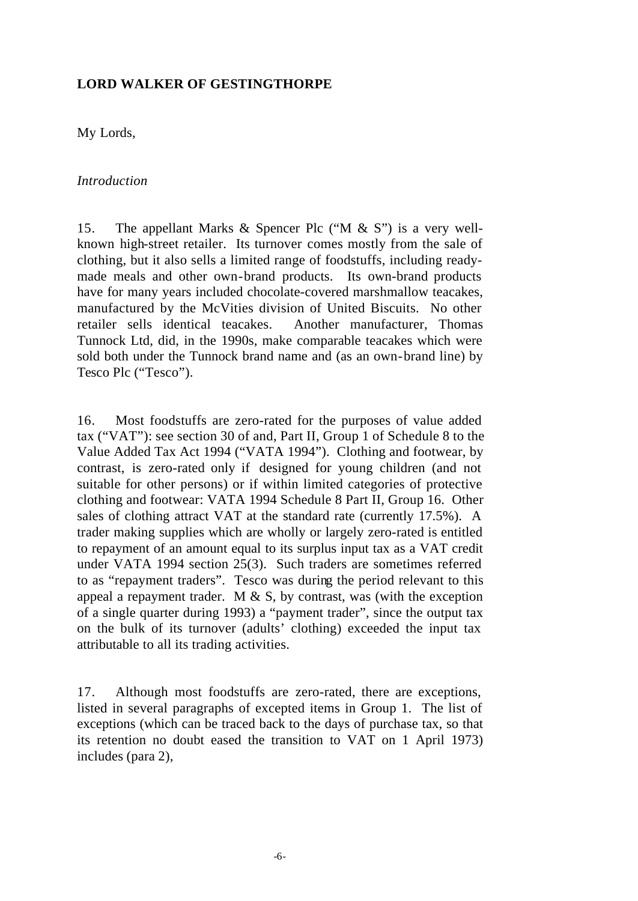# **LORD WALKER OF GESTINGTHORPE**

My Lords,

### *Introduction*

15. The appellant Marks & Spencer Plc ("M & S") is a very wellknown high-street retailer. Its turnover comes mostly from the sale of clothing, but it also sells a limited range of foodstuffs, including readymade meals and other own-brand products. Its own-brand products have for many years included chocolate-covered marshmallow teacakes, manufactured by the McVities division of United Biscuits. No other retailer sells identical teacakes. Another manufacturer, Thomas Tunnock Ltd, did, in the 1990s, make comparable teacakes which were sold both under the Tunnock brand name and (as an own-brand line) by Tesco Plc ("Tesco").

16. Most foodstuffs are zero-rated for the purposes of value added tax ("VAT"): see section 30 of and, Part II, Group 1 of Schedule 8 to the Value Added Tax Act 1994 ("VATA 1994"). Clothing and footwear, by contrast, is zero-rated only if designed for young children (and not suitable for other persons) or if within limited categories of protective clothing and footwear: VATA 1994 Schedule 8 Part II, Group 16. Other sales of clothing attract VAT at the standard rate (currently 17.5%). A trader making supplies which are wholly or largely zero-rated is entitled to repayment of an amount equal to its surplus input tax as a VAT credit under VATA 1994 section 25(3). Such traders are sometimes referred to as "repayment traders". Tesco was during the period relevant to this appeal a repayment trader. M  $\&$  S, by contrast, was (with the exception of a single quarter during 1993) a "payment trader", since the output tax on the bulk of its turnover (adults' clothing) exceeded the input tax attributable to all its trading activities.

17. Although most foodstuffs are zero-rated, there are exceptions, listed in several paragraphs of excepted items in Group 1. The list of exceptions (which can be traced back to the days of purchase tax, so that its retention no doubt eased the transition to VAT on 1 April 1973) includes (para 2),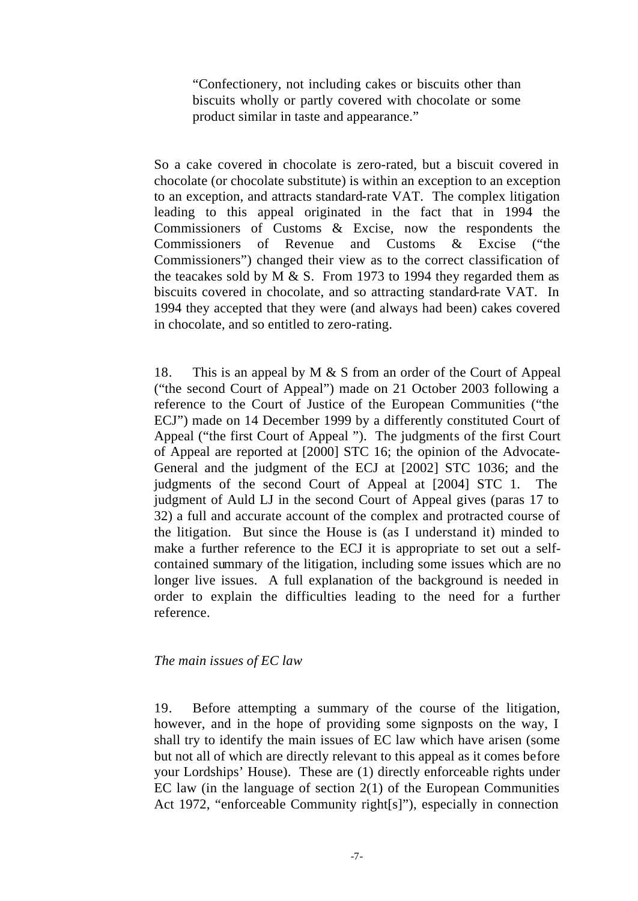"Confectionery, not including cakes or biscuits other than biscuits wholly or partly covered with chocolate or some product similar in taste and appearance."

So a cake covered in chocolate is zero-rated, but a biscuit covered in chocolate (or chocolate substitute) is within an exception to an exception to an exception, and attracts standard-rate VAT. The complex litigation leading to this appeal originated in the fact that in 1994 the Commissioners of Customs & Excise, now the respondents the Commissioners of Revenue and Customs & Excise ("the Commissioners") changed their view as to the correct classification of the teacakes sold by M  $\&$  S. From 1973 to 1994 they regarded them as biscuits covered in chocolate, and so attracting standard-rate VAT. In 1994 they accepted that they were (and always had been) cakes covered in chocolate, and so entitled to zero-rating.

18. This is an appeal by  $M \& S$  from an order of the Court of Appeal ("the second Court of Appeal") made on 21 October 2003 following a reference to the Court of Justice of the European Communities ("the ECJ") made on 14 December 1999 by a differently constituted Court of Appeal ("the first Court of Appeal "). The judgments of the first Court of Appeal are reported at [2000] STC 16; the opinion of the Advocate-General and the judgment of the ECJ at [2002] STC 1036; and the judgments of the second Court of Appeal at [2004] STC 1. The judgment of Auld LJ in the second Court of Appeal gives (paras 17 to 32) a full and accurate account of the complex and protracted course of the litigation. But since the House is (as I understand it) minded to make a further reference to the ECJ it is appropriate to set out a selfcontained summary of the litigation, including some issues which are no longer live issues. A full explanation of the background is needed in order to explain the difficulties leading to the need for a further reference.

# *The main issues of EC law*

19. Before attempting a summary of the course of the litigation, however, and in the hope of providing some signposts on the way, I shall try to identify the main issues of EC law which have arisen (some but not all of which are directly relevant to this appeal as it comes before your Lordships' House). These are (1) directly enforceable rights under EC law (in the language of section 2(1) of the European Communities Act 1972, "enforceable Community right[s]"), especially in connection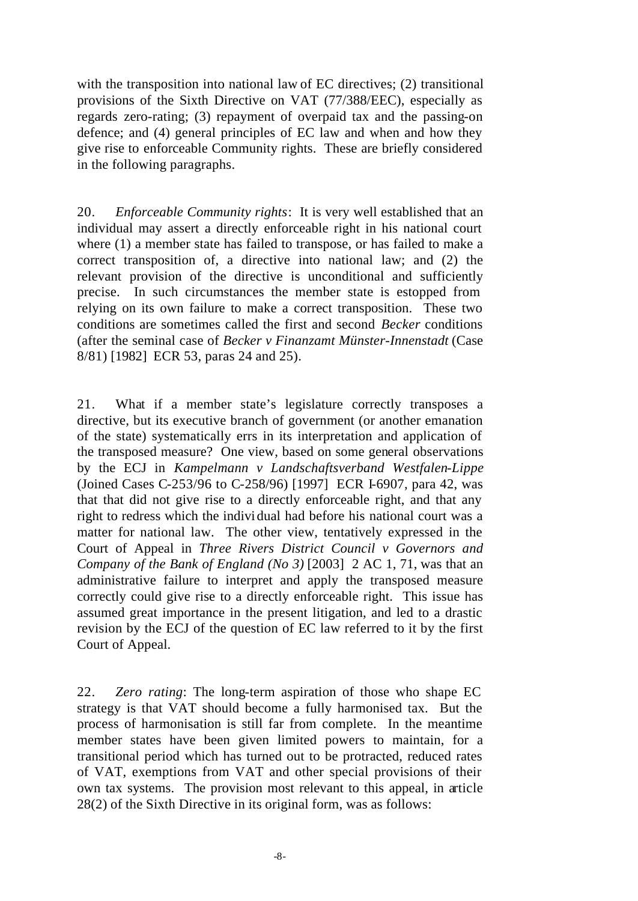with the transposition into national law of EC directives; (2) transitional provisions of the Sixth Directive on VAT (77/388/EEC), especially as regards zero-rating; (3) repayment of overpaid tax and the passing-on defence; and (4) general principles of EC law and when and how they give rise to enforceable Community rights. These are briefly considered in the following paragraphs.

20. *Enforceable Community rights*: It is very well established that an individual may assert a directly enforceable right in his national court where (1) a member state has failed to transpose, or has failed to make a correct transposition of, a directive into national law; and (2) the relevant provision of the directive is unconditional and sufficiently precise. In such circumstances the member state is estopped from relying on its own failure to make a correct transposition. These two conditions are sometimes called the first and second *Becker* conditions (after the seminal case of *Becker v Finanzamt Münster-Innenstadt* (Case 8/81) [1982] ECR 53, paras 24 and 25).

21. What if a member state's legislature correctly transposes a directive, but its executive branch of government (or another emanation of the state) systematically errs in its interpretation and application of the transposed measure? One view, based on some general observations by the ECJ in *Kampelmann v Landschaftsverband Westfalen-Lippe* (Joined Cases C-253/96 to C-258/96) [1997] ECR I-6907, para 42, was that that did not give rise to a directly enforceable right, and that any right to redress which the individual had before his national court was a matter for national law. The other view, tentatively expressed in the Court of Appeal in *Three Rivers District Council v Governors and Company of the Bank of England (No 3)* [2003] 2 AC 1, 71, was that an administrative failure to interpret and apply the transposed measure correctly could give rise to a directly enforceable right. This issue has assumed great importance in the present litigation, and led to a drastic revision by the ECJ of the question of EC law referred to it by the first Court of Appeal.

22. *Zero rating*: The long-term aspiration of those who shape EC strategy is that VAT should become a fully harmonised tax. But the process of harmonisation is still far from complete. In the meantime member states have been given limited powers to maintain, for a transitional period which has turned out to be protracted, reduced rates of VAT, exemptions from VAT and other special provisions of their own tax systems. The provision most relevant to this appeal, in article 28(2) of the Sixth Directive in its original form, was as follows: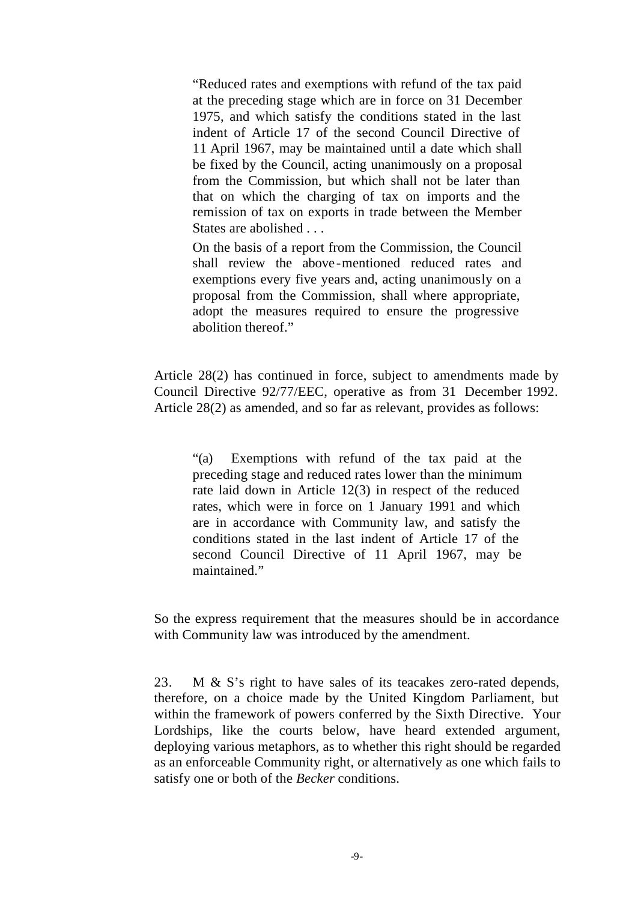"Reduced rates and exemptions with refund of the tax paid at the preceding stage which are in force on 31 December 1975, and which satisfy the conditions stated in the last indent of Article 17 of the second Council Directive of 11 April 1967, may be maintained until a date which shall be fixed by the Council, acting unanimously on a proposal from the Commission, but which shall not be later than that on which the charging of tax on imports and the remission of tax on exports in trade between the Member States are abolished . . .

On the basis of a report from the Commission, the Council shall review the above -mentioned reduced rates and exemptions every five years and, acting unanimously on a proposal from the Commission, shall where appropriate, adopt the measures required to ensure the progressive abolition thereof."

Article 28(2) has continued in force, subject to amendments made by Council Directive 92/77/EEC, operative as from 31 December 1992. Article 28(2) as amended, and so far as relevant, provides as follows:

"(a) Exemptions with refund of the tax paid at the preceding stage and reduced rates lower than the minimum rate laid down in Article 12(3) in respect of the reduced rates, which were in force on 1 January 1991 and which are in accordance with Community law, and satisfy the conditions stated in the last indent of Article 17 of the second Council Directive of 11 April 1967, may be maintained."

So the express requirement that the measures should be in accordance with Community law was introduced by the amendment.

23. M & S's right to have sales of its teacakes zero-rated depends, therefore, on a choice made by the United Kingdom Parliament, but within the framework of powers conferred by the Sixth Directive. Your Lordships, like the courts below, have heard extended argument, deploying various metaphors, as to whether this right should be regarded as an enforceable Community right, or alternatively as one which fails to satisfy one or both of the *Becker* conditions.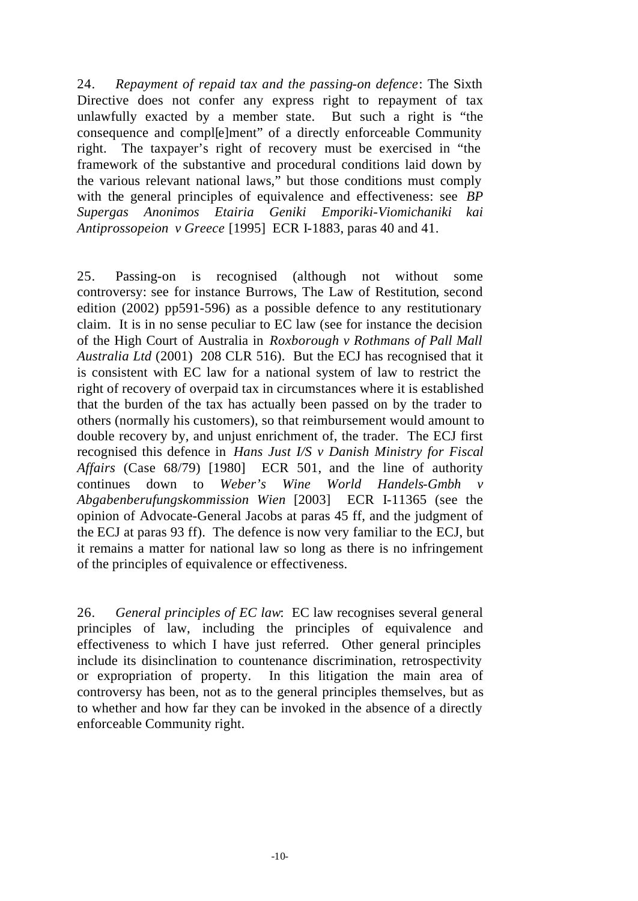24. *Repayment of repaid tax and the passing-on defence*: The Sixth Directive does not confer any express right to repayment of tax unlawfully exacted by a member state. But such a right is "the consequence and compl[e]ment" of a directly enforceable Community right. The taxpayer's right of recovery must be exercised in "the framework of the substantive and procedural conditions laid down by the various relevant national laws," but those conditions must comply with the general principles of equivalence and effectiveness: see *BP Supergas Anonimos Etairia Geniki Emporiki-Viomichaniki kai Antiprossopeion v Greece* [1995] ECR I-1883, paras 40 and 41.

25. Passing-on is recognised (although not without some controversy: see for instance Burrows, The Law of Restitution, second edition (2002) pp591-596) as a possible defence to any restitutionary claim. It is in no sense peculiar to EC law (see for instance the decision of the High Court of Australia in *Roxborough v Rothmans of Pall Mall Australia Ltd* (2001) 208 CLR 516). But the ECJ has recognised that it is consistent with EC law for a national system of law to restrict the right of recovery of overpaid tax in circumstances where it is established that the burden of the tax has actually been passed on by the trader to others (normally his customers), so that reimbursement would amount to double recovery by, and unjust enrichment of, the trader. The ECJ first recognised this defence in *Hans Just I/S v Danish Ministry for Fiscal Affairs* (Case 68/79) [1980] ECR 501, and the line of authority continues down to *Weber's Wine World Handels-Gmbh v Abgabenberufungskommission Wien* [2003] ECR I-11365 (see the opinion of Advocate-General Jacobs at paras 45 ff, and the judgment of the ECJ at paras 93 ff). The defence is now very familiar to the ECJ, but it remains a matter for national law so long as there is no infringement of the principles of equivalence or effectiveness.

26. *General principles of EC law*: EC law recognises several general principles of law, including the principles of equivalence and effectiveness to which I have just referred. Other general principles include its disinclination to countenance discrimination, retrospectivity or expropriation of property. In this litigation the main area of controversy has been, not as to the general principles themselves, but as to whether and how far they can be invoked in the absence of a directly enforceable Community right.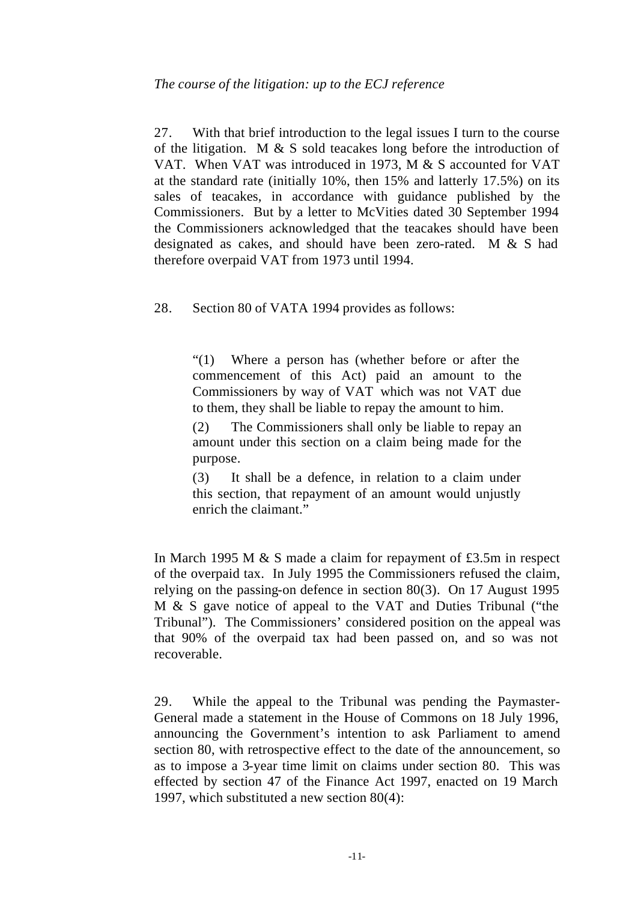27. With that brief introduction to the legal issues I turn to the course of the litigation. M & S sold teacakes long before the introduction of VAT. When VAT was introduced in 1973, M & S accounted for VAT at the standard rate (initially 10%, then 15% and latterly 17.5%) on its sales of teacakes, in accordance with guidance published by the Commissioners. But by a letter to McVities dated 30 September 1994 the Commissioners acknowledged that the teacakes should have been designated as cakes, and should have been zero-rated. M & S had therefore overpaid VAT from 1973 until 1994.

28. Section 80 of VATA 1994 provides as follows:

"(1) Where a person has (whether before or after the commencement of this Act) paid an amount to the Commissioners by way of VAT which was not VAT due to them, they shall be liable to repay the amount to him.

(2) The Commissioners shall only be liable to repay an amount under this section on a claim being made for the purpose.

(3) It shall be a defence, in relation to a claim under this section, that repayment of an amount would unjustly enrich the claimant."

In March 1995 M & S made a claim for repayment of £3.5m in respect of the overpaid tax. In July 1995 the Commissioners refused the claim, relying on the passing-on defence in section 80(3). On 17 August 1995 M & S gave notice of appeal to the VAT and Duties Tribunal ("the Tribunal"). The Commissioners' considered position on the appeal was that 90% of the overpaid tax had been passed on, and so was not recoverable.

29. While the appeal to the Tribunal was pending the Paymaster-General made a statement in the House of Commons on 18 July 1996, announcing the Government's intention to ask Parliament to amend section 80, with retrospective effect to the date of the announcement, so as to impose a 3-year time limit on claims under section 80. This was effected by section 47 of the Finance Act 1997, enacted on 19 March 1997, which substituted a new section 80(4):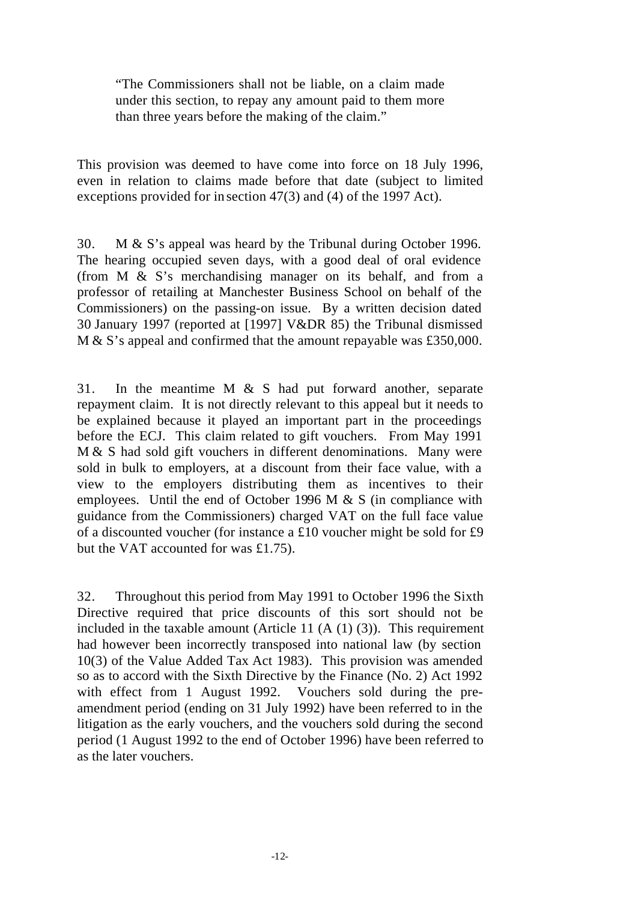"The Commissioners shall not be liable, on a claim made under this section, to repay any amount paid to them more than three years before the making of the claim."

This provision was deemed to have come into force on 18 July 1996, even in relation to claims made before that date (subject to limited exceptions provided for in section 47(3) and (4) of the 1997 Act).

30. M & S's appeal was heard by the Tribunal during October 1996. The hearing occupied seven days, with a good deal of oral evidence (from M & S's merchandising manager on its behalf, and from a professor of retailing at Manchester Business School on behalf of the Commissioners) on the passing-on issue. By a written decision dated 30 January 1997 (reported at [1997] V&DR 85) the Tribunal dismissed M & S's appeal and confirmed that the amount repayable was £350,000.

31. In the meantime M & S had put forward another, separate repayment claim. It is not directly relevant to this appeal but it needs to be explained because it played an important part in the proceedings before the ECJ. This claim related to gift vouchers. From May 1991 M & S had sold gift vouchers in different denominations. Many were sold in bulk to employers, at a discount from their face value, with a view to the employers distributing them as incentives to their employees. Until the end of October 1996 M & S (in compliance with guidance from the Commissioners) charged VAT on the full face value of a discounted voucher (for instance a £10 voucher might be sold for £9 but the VAT accounted for was £1.75).

32. Throughout this period from May 1991 to October 1996 the Sixth Directive required that price discounts of this sort should not be included in the taxable amount (Article 11 (A (1) (3)). This requirement had however been incorrectly transposed into national law (by section 10(3) of the Value Added Tax Act 1983). This provision was amended so as to accord with the Sixth Directive by the Finance (No. 2) Act 1992 with effect from 1 August 1992. Vouchers sold during the preamendment period (ending on 31 July 1992) have been referred to in the litigation as the early vouchers, and the vouchers sold during the second period (1 August 1992 to the end of October 1996) have been referred to as the later vouchers.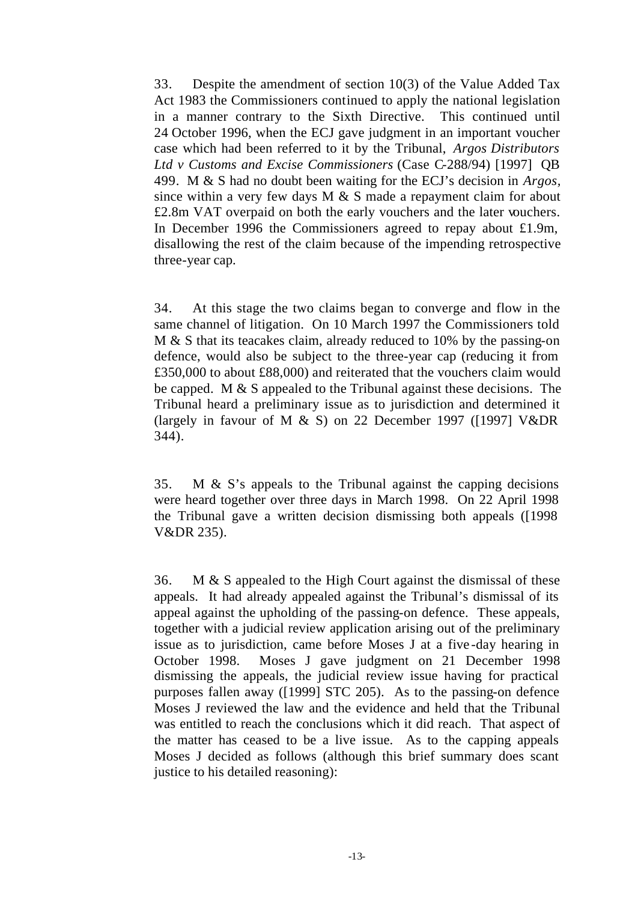33. Despite the amendment of section 10(3) of the Value Added Tax Act 1983 the Commissioners continued to apply the national legislation in a manner contrary to the Sixth Directive. This continued until 24 October 1996, when the ECJ gave judgment in an important voucher case which had been referred to it by the Tribunal, *Argos Distributors Ltd v Customs and Excise Commissioners* (Case C-288/94) [1997] QB 499. M & S had no doubt been waiting for the ECJ's decision in *Argos,* since within a very few days  $M \& S$  made a repayment claim for about £2.8m VAT overpaid on both the early vouchers and the later vouchers. In December 1996 the Commissioners agreed to repay about £1.9m, disallowing the rest of the claim because of the impending retrospective three-year cap.

34. At this stage the two claims began to converge and flow in the same channel of litigation. On 10 March 1997 the Commissioners told M & S that its teacakes claim, already reduced to 10% by the passing-on defence, would also be subject to the three-year cap (reducing it from £350,000 to about £88,000) and reiterated that the vouchers claim would be capped. M & S appealed to the Tribunal against these decisions. The Tribunal heard a preliminary issue as to jurisdiction and determined it (largely in favour of M & S) on 22 December 1997 ([1997]  $V\&DR$ 344).

35. M & S's appeals to the Tribunal against the capping decisions were heard together over three days in March 1998. On 22 April 1998 the Tribunal gave a written decision dismissing both appeals ([1998 V&DR 235).

36. M & S appealed to the High Court against the dismissal of these appeals. It had already appealed against the Tribunal's dismissal of its appeal against the upholding of the passing-on defence. These appeals, together with a judicial review application arising out of the preliminary issue as to jurisdiction, came before Moses J at a five -day hearing in October 1998. Moses J gave judgment on 21 December 1998 dismissing the appeals, the judicial review issue having for practical purposes fallen away ([1999] STC 205). As to the passing-on defence Moses J reviewed the law and the evidence and held that the Tribunal was entitled to reach the conclusions which it did reach. That aspect of the matter has ceased to be a live issue. As to the capping appeals Moses J decided as follows (although this brief summary does scant justice to his detailed reasoning):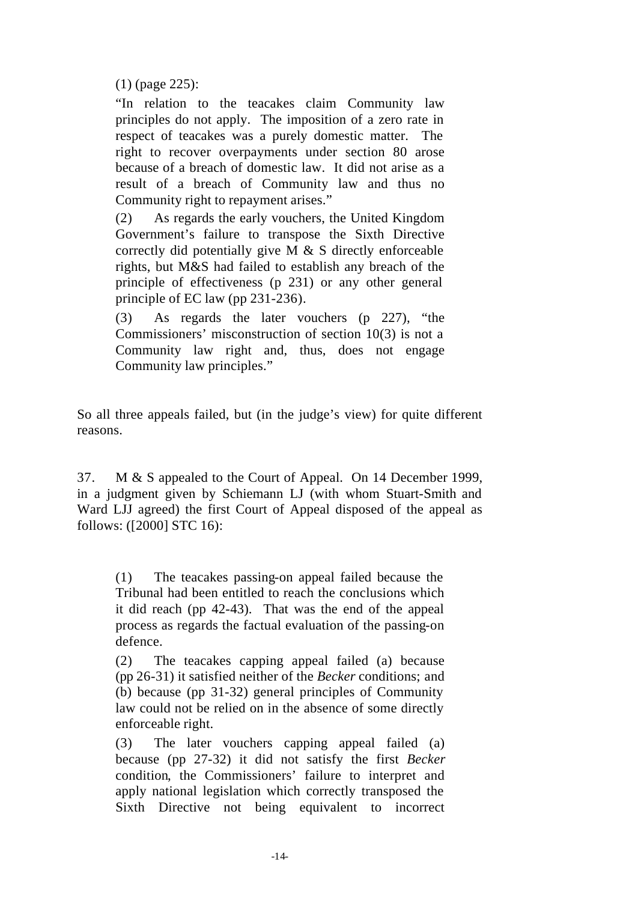(1) (page 225):

"In relation to the teacakes claim Community law principles do not apply. The imposition of a zero rate in respect of teacakes was a purely domestic matter. The right to recover overpayments under section 80 arose because of a breach of domestic law. It did not arise as a result of a breach of Community law and thus no Community right to repayment arises."

(2) As regards the early vouchers, the United Kingdom Government's failure to transpose the Sixth Directive correctly did potentially give M & S directly enforceable rights, but M&S had failed to establish any breach of the principle of effectiveness (p 231) or any other general principle of EC law (pp 231-236).

(3) As regards the later vouchers (p 227), "the Commissioners' misconstruction of section 10(3) is not a Community law right and, thus, does not engage Community law principles."

So all three appeals failed, but (in the judge's view) for quite different reasons.

37. M & S appealed to the Court of Appeal. On 14 December 1999, in a judgment given by Schiemann LJ (with whom Stuart-Smith and Ward LJJ agreed) the first Court of Appeal disposed of the appeal as follows: ([2000] STC 16):

(1) The teacakes passing-on appeal failed because the Tribunal had been entitled to reach the conclusions which it did reach (pp 42-43). That was the end of the appeal process as regards the factual evaluation of the passing-on defence.

(2) The teacakes capping appeal failed (a) because (pp 26-31) it satisfied neither of the *Becker* conditions; and (b) because (pp 31-32) general principles of Community law could not be relied on in the absence of some directly enforceable right.

(3) The later vouchers capping appeal failed (a) because (pp 27-32) it did not satisfy the first *Becker* condition, the Commissioners' failure to interpret and apply national legislation which correctly transposed the Sixth Directive not being equivalent to incorrect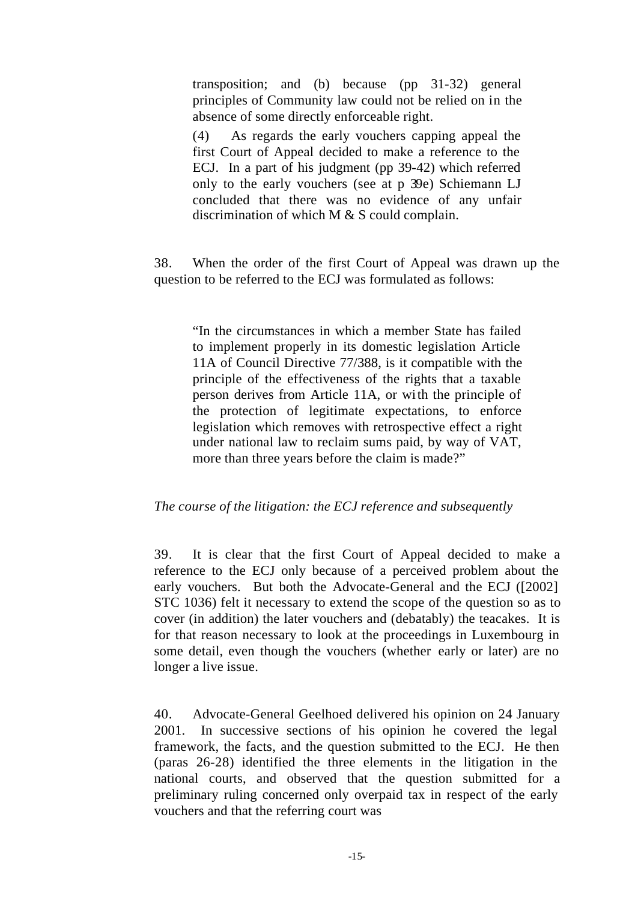transposition; and (b) because (pp 31-32) general principles of Community law could not be relied on in the absence of some directly enforceable right.

(4) As regards the early vouchers capping appeal the first Court of Appeal decided to make a reference to the ECJ. In a part of his judgment (pp 39-42) which referred only to the early vouchers (see at p 39e) Schiemann LJ concluded that there was no evidence of any unfair discrimination of which M & S could complain.

38. When the order of the first Court of Appeal was drawn up the question to be referred to the ECJ was formulated as follows:

"In the circumstances in which a member State has failed to implement properly in its domestic legislation Article 11A of Council Directive 77/388, is it compatible with the principle of the effectiveness of the rights that a taxable person derives from Article 11A, or with the principle of the protection of legitimate expectations, to enforce legislation which removes with retrospective effect a right under national law to reclaim sums paid, by way of VAT, more than three years before the claim is made?"

# *The course of the litigation: the ECJ reference and subsequently*

39. It is clear that the first Court of Appeal decided to make a reference to the ECJ only because of a perceived problem about the early vouchers. But both the Advocate-General and the ECJ ([2002] STC 1036) felt it necessary to extend the scope of the question so as to cover (in addition) the later vouchers and (debatably) the teacakes. It is for that reason necessary to look at the proceedings in Luxembourg in some detail, even though the vouchers (whether early or later) are no longer a live issue.

40. Advocate-General Geelhoed delivered his opinion on 24 January 2001. In successive sections of his opinion he covered the legal framework, the facts, and the question submitted to the ECJ. He then (paras 26-28) identified the three elements in the litigation in the national courts, and observed that the question submitted for a preliminary ruling concerned only overpaid tax in respect of the early vouchers and that the referring court was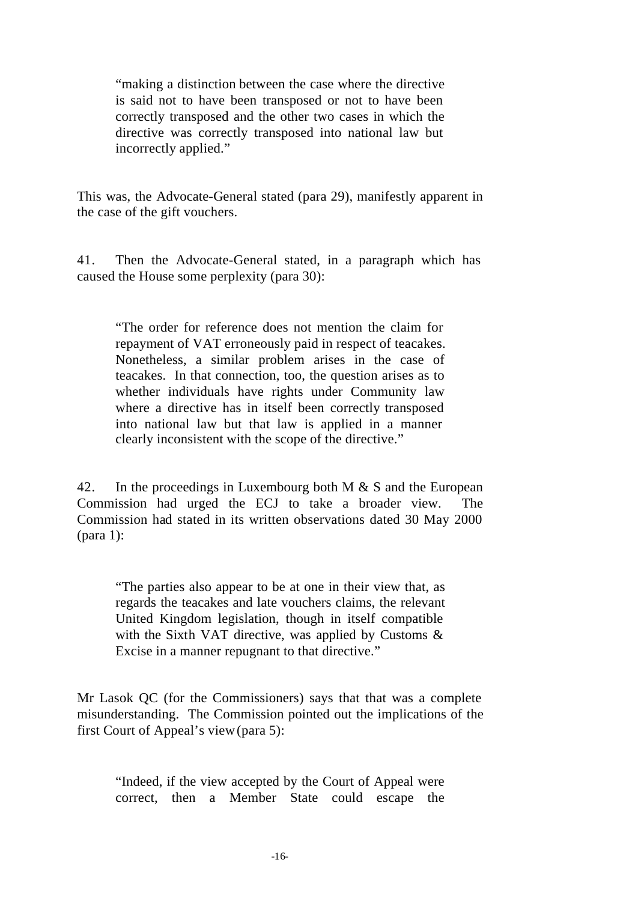"making a distinction between the case where the directive is said not to have been transposed or not to have been correctly transposed and the other two cases in which the directive was correctly transposed into national law but incorrectly applied."

This was, the Advocate-General stated (para 29), manifestly apparent in the case of the gift vouchers.

41. Then the Advocate-General stated, in a paragraph which has caused the House some perplexity (para 30):

"The order for reference does not mention the claim for repayment of VAT erroneously paid in respect of teacakes. Nonetheless, a similar problem arises in the case of teacakes. In that connection, too, the question arises as to whether individuals have rights under Community law where a directive has in itself been correctly transposed into national law but that law is applied in a manner clearly inconsistent with the scope of the directive."

42. In the proceedings in Luxembourg both M & S and the European Commission had urged the ECJ to take a broader view. The Commission had stated in its written observations dated 30 May 2000 (para 1):

"The parties also appear to be at one in their view that, as regards the teacakes and late vouchers claims, the relevant United Kingdom legislation, though in itself compatible with the Sixth VAT directive, was applied by Customs & Excise in a manner repugnant to that directive."

Mr Lasok QC (for the Commissioners) says that that was a complete misunderstanding. The Commission pointed out the implications of the first Court of Appeal's view (para 5):

"Indeed, if the view accepted by the Court of Appeal were correct, then a Member State could escape the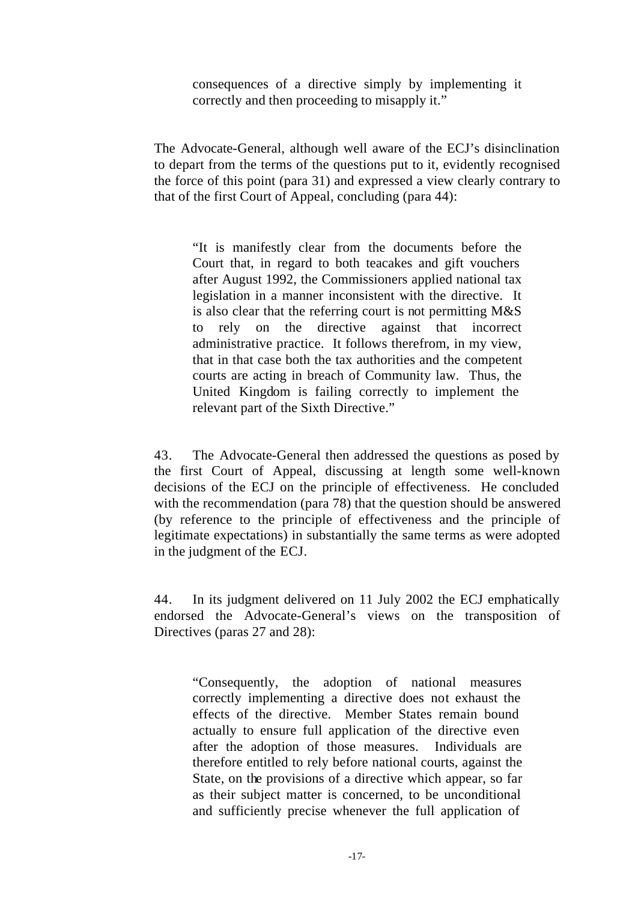consequences of a directive simply by implementing it correctly and then proceeding to misapply it."

The Advocate-General, although well aware of the ECJ's disinclination to depart from the terms of the questions put to it, evidently recognised the force of this point (para 31) and expressed a view clearly contrary to that of the first Court of Appeal, concluding (para 44):

"It is manifestly clear from the documents before the Court that, in regard to both teacakes and gift vouchers after August 1992, the Commissioners applied national tax legislation in a manner inconsistent with the directive. It is also clear that the referring court is not permitting M&S to rely on the directive against that incorrect administrative practice. It follows therefrom, in my view, that in that case both the tax authorities and the competent courts are acting in breach of Community law. Thus, the United Kingdom is failing correctly to implement the relevant part of the Sixth Directive."

43. The Advocate-General then addressed the questions as posed by the first Court of Appeal, discussing at length some well-known decisions of the ECJ on the principle of effectiveness. He concluded with the recommendation (para 78) that the question should be answered (by reference to the principle of effectiveness and the principle of legitimate expectations) in substantially the same terms as were adopted in the judgment of the ECJ.

44. In its judgment delivered on 11 July 2002 the ECJ emphatically endorsed the Advocate-General's views on the transposition of Directives (paras 27 and 28):

"Consequently, the adoption of national measures correctly implementing a directive does not exhaust the effects of the directive. Member States remain bound actually to ensure full application of the directive even after the adoption of those measures. Individuals are therefore entitled to rely before national courts, against the State, on the provisions of a directive which appear, so far as their subject matter is concerned, to be unconditional and sufficiently precise whenever the full application of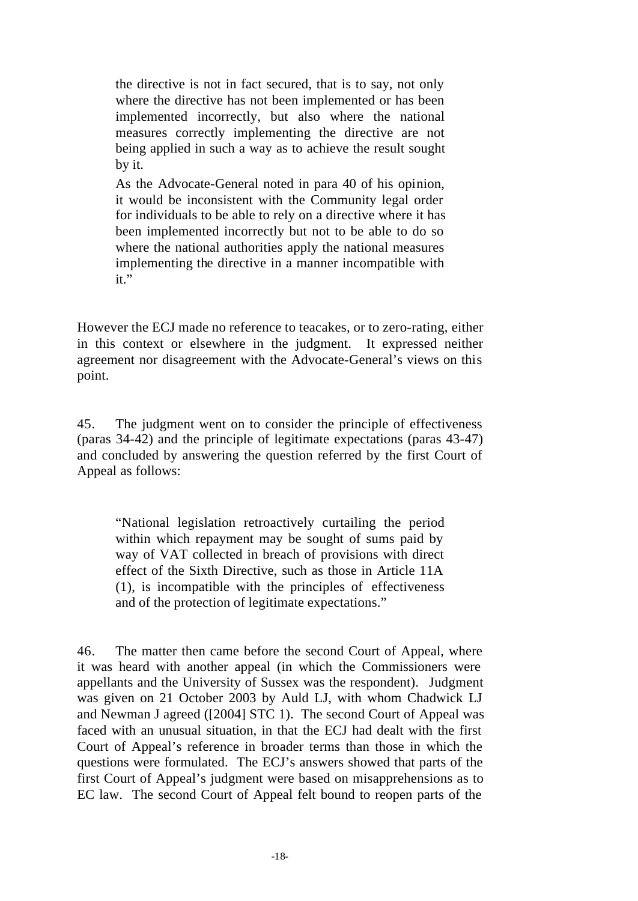the directive is not in fact secured, that is to say, not only where the directive has not been implemented or has been implemented incorrectly, but also where the national measures correctly implementing the directive are not being applied in such a way as to achieve the result sought by it.

As the Advocate-General noted in para 40 of his opinion, it would be inconsistent with the Community legal order for individuals to be able to rely on a directive where it has been implemented incorrectly but not to be able to do so where the national authorities apply the national measures implementing the directive in a manner incompatible with it."

However the ECJ made no reference to teacakes, or to zero-rating, either in this context or elsewhere in the judgment. It expressed neither agreement nor disagreement with the Advocate-General's views on this point.

45. The judgment went on to consider the principle of effectiveness (paras 34-42) and the principle of legitimate expectations (paras 43-47) and concluded by answering the question referred by the first Court of Appeal as follows:

"National legislation retroactively curtailing the period within which repayment may be sought of sums paid by way of VAT collected in breach of provisions with direct effect of the Sixth Directive, such as those in Article 11A (1), is incompatible with the principles of effectiveness and of the protection of legitimate expectations."

46. The matter then came before the second Court of Appeal, where it was heard with another appeal (in which the Commissioners were appellants and the University of Sussex was the respondent). Judgment was given on 21 October 2003 by Auld LJ, with whom Chadwick LJ and Newman J agreed ([2004] STC 1). The second Court of Appeal was faced with an unusual situation, in that the ECJ had dealt with the first Court of Appeal's reference in broader terms than those in which the questions were formulated. The ECJ's answers showed that parts of the first Court of Appeal's judgment were based on misapprehensions as to EC law. The second Court of Appeal felt bound to reopen parts of the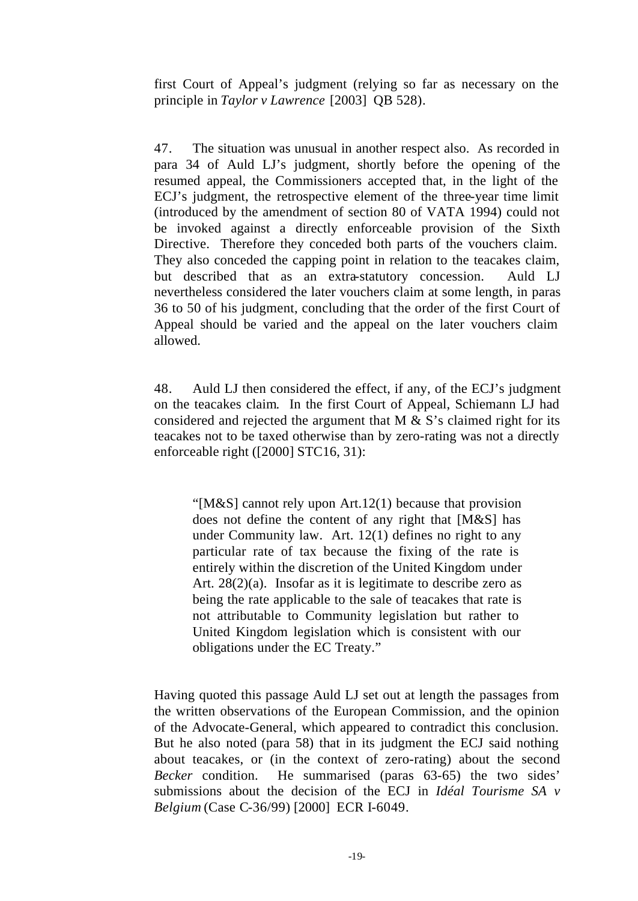first Court of Appeal's judgment (relying so far as necessary on the principle in *Taylor v Lawrence* [2003] QB 528).

47. The situation was unusual in another respect also. As recorded in para 34 of Auld LJ's judgment, shortly before the opening of the resumed appeal, the Commissioners accepted that, in the light of the ECJ's judgment, the retrospective element of the three-year time limit (introduced by the amendment of section 80 of VATA 1994) could not be invoked against a directly enforceable provision of the Sixth Directive. Therefore they conceded both parts of the vouchers claim. They also conceded the capping point in relation to the teacakes claim, but described that as an extra-statutory concession. Auld LJ nevertheless considered the later vouchers claim at some length, in paras 36 to 50 of his judgment, concluding that the order of the first Court of Appeal should be varied and the appeal on the later vouchers claim allowed.

48. Auld LJ then considered the effect, if any, of the ECJ's judgment on the teacakes claim. In the first Court of Appeal, Schiemann LJ had considered and rejected the argument that  $M \& S$ 's claimed right for its teacakes not to be taxed otherwise than by zero-rating was not a directly enforceable right ([2000] STC16, 31):

"[M&S] cannot rely upon Art.12(1) because that provision does not define the content of any right that [M&S] has under Community law. Art. 12(1) defines no right to any particular rate of tax because the fixing of the rate is entirely within the discretion of the United Kingdom under Art. 28(2)(a). Insofar as it is legitimate to describe zero as being the rate applicable to the sale of teacakes that rate is not attributable to Community legislation but rather to United Kingdom legislation which is consistent with our obligations under the EC Treaty."

Having quoted this passage Auld LJ set out at length the passages from the written observations of the European Commission, and the opinion of the Advocate-General, which appeared to contradict this conclusion. But he also noted (para 58) that in its judgment the ECJ said nothing about teacakes, or (in the context of zero-rating) about the second *Becker* condition. He summarised (paras 63-65) the two sides' submissions about the decision of the ECJ in *Idéal Tourisme SA v Belgium* (Case C-36/99) [2000] ECR I-6049.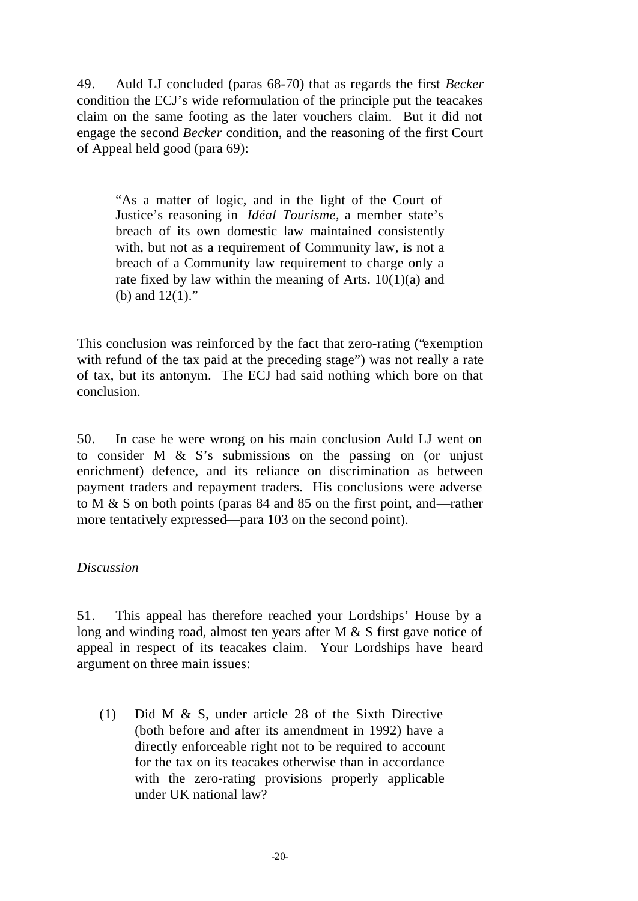49. Auld LJ concluded (paras 68-70) that as regards the first *Becker* condition the ECJ's wide reformulation of the principle put the teacakes claim on the same footing as the later vouchers claim. But it did not engage the second *Becker* condition, and the reasoning of the first Court of Appeal held good (para 69):

"As a matter of logic, and in the light of the Court of Justice's reasoning in *Idéal Tourisme,* a member state's breach of its own domestic law maintained consistently with, but not as a requirement of Community law, is not a breach of a Community law requirement to charge only a rate fixed by law within the meaning of Arts. 10(1)(a) and (b) and  $12(1)$ ."

This conclusion was reinforced by the fact that zero-rating ("exemption with refund of the tax paid at the preceding stage") was not really a rate of tax, but its antonym. The ECJ had said nothing which bore on that conclusion.

50. In case he were wrong on his main conclusion Auld LJ went on to consider M & S's submissions on the passing on (or unjust enrichment) defence, and its reliance on discrimination as between payment traders and repayment traders. His conclusions were adverse to M & S on both points (paras 84 and 85 on the first point, and—rather more tentatively expressed—para 103 on the second point).

# *Discussion*

51. This appeal has therefore reached your Lordships' House by a long and winding road, almost ten years after M & S first gave notice of appeal in respect of its teacakes claim. Your Lordships have heard argument on three main issues:

(1) Did M & S, under article 28 of the Sixth Directive (both before and after its amendment in 1992) have a directly enforceable right not to be required to account for the tax on its teacakes otherwise than in accordance with the zero-rating provisions properly applicable under UK national law?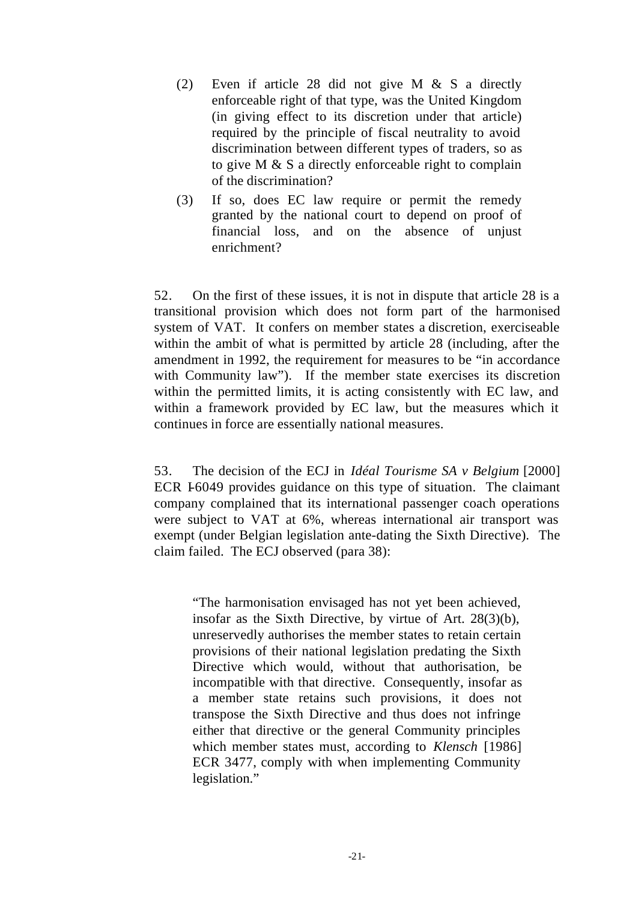- (2) Even if article 28 did not give M & S a directly enforceable right of that type, was the United Kingdom (in giving effect to its discretion under that article) required by the principle of fiscal neutrality to avoid discrimination between different types of traders, so as to give M & S a directly enforceable right to complain of the discrimination?
- (3) If so, does EC law require or permit the remedy granted by the national court to depend on proof of financial loss, and on the absence of unjust enrichment?

52. On the first of these issues, it is not in dispute that article 28 is a transitional provision which does not form part of the harmonised system of VAT. It confers on member states a discretion, exerciseable within the ambit of what is permitted by article 28 (including, after the amendment in 1992, the requirement for measures to be "in accordance with Community law"). If the member state exercises its discretion within the permitted limits, it is acting consistently with EC law, and within a framework provided by EC law, but the measures which it continues in force are essentially national measures.

53. The decision of the ECJ in *Idéal Tourisme SA v Belgium* [2000] ECR 1-6049 provides guidance on this type of situation. The claimant company complained that its international passenger coach operations were subject to VAT at 6%, whereas international air transport was exempt (under Belgian legislation ante-dating the Sixth Directive). The claim failed. The ECJ observed (para 38):

"The harmonisation envisaged has not yet been achieved, insofar as the Sixth Directive, by virtue of Art. 28(3)(b), unreservedly authorises the member states to retain certain provisions of their national legislation predating the Sixth Directive which would, without that authorisation, be incompatible with that directive. Consequently, insofar as a member state retains such provisions, it does not transpose the Sixth Directive and thus does not infringe either that directive or the general Community principles which member states must, according to *Klensch* [1986] ECR 3477, comply with when implementing Community legislation."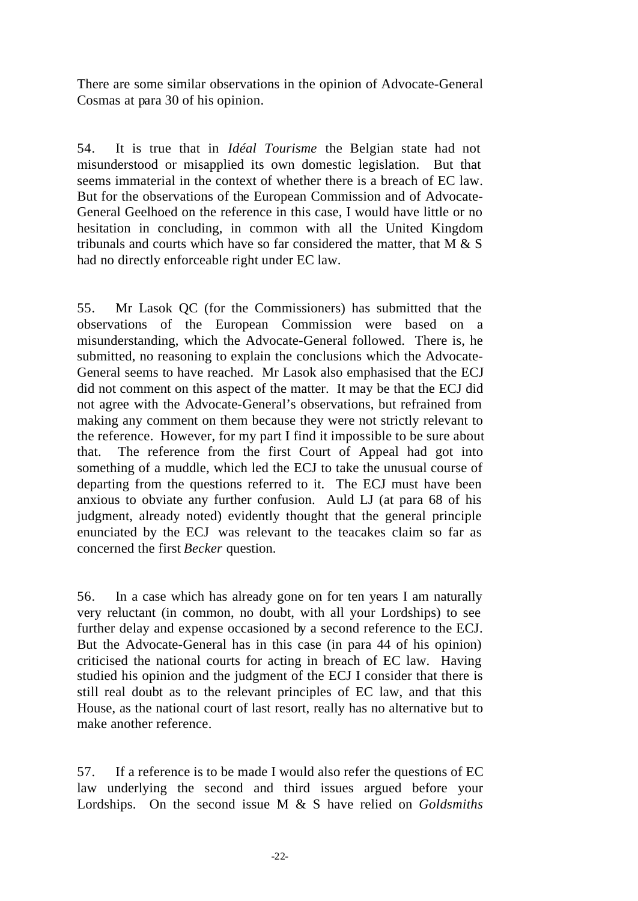There are some similar observations in the opinion of Advocate-General Cosmas at para 30 of his opinion.

54. It is true that in *Idéal Tourisme* the Belgian state had not misunderstood or misapplied its own domestic legislation. But that seems immaterial in the context of whether there is a breach of EC law. But for the observations of the European Commission and of Advocate-General Geelhoed on the reference in this case, I would have little or no hesitation in concluding, in common with all the United Kingdom tribunals and courts which have so far considered the matter, that M & S had no directly enforceable right under EC law.

55. Mr Lasok QC (for the Commissioners) has submitted that the observations of the European Commission were based on a misunderstanding, which the Advocate-General followed. There is, he submitted, no reasoning to explain the conclusions which the Advocate-General seems to have reached. Mr Lasok also emphasised that the ECJ did not comment on this aspect of the matter. It may be that the ECJ did not agree with the Advocate-General's observations, but refrained from making any comment on them because they were not strictly relevant to the reference. However, for my part I find it impossible to be sure about that. The reference from the first Court of Appeal had got into something of a muddle, which led the ECJ to take the unusual course of departing from the questions referred to it. The ECJ must have been anxious to obviate any further confusion. Auld LJ (at para 68 of his judgment, already noted) evidently thought that the general principle enunciated by the ECJ was relevant to the teacakes claim so far as concerned the first *Becker* question.

56. In a case which has already gone on for ten years I am naturally very reluctant (in common, no doubt, with all your Lordships) to see further delay and expense occasioned by a second reference to the ECJ. But the Advocate-General has in this case (in para 44 of his opinion) criticised the national courts for acting in breach of EC law. Having studied his opinion and the judgment of the ECJ I consider that there is still real doubt as to the relevant principles of EC law, and that this House, as the national court of last resort, really has no alternative but to make another reference.

57. If a reference is to be made I would also refer the questions of EC law underlying the second and third issues argued before your Lordships. On the second issue M & S have relied on *Goldsmiths*